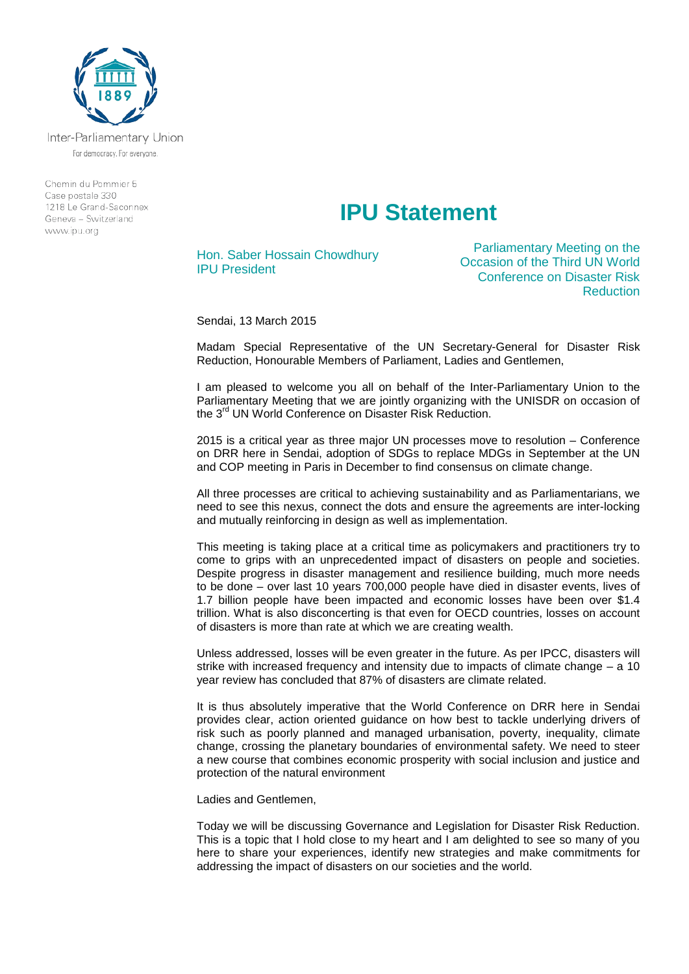

Inter-Parliamentary Union For democracy. For everyone.

Chemin du Pommier 5 Case postale 330 1218 Le Grand-Saconney Geneva - Switzerland www.ipu.org

## **IPU Statement**

Hon. Saber Hossain Chowdhury IPU President

Parliamentary Meeting on the Occasion of the Third UN World Conference on Disaster Risk **Reduction** 

Sendai, 13 March 2015

Madam Special Representative of the UN Secretary-General for Disaster Risk Reduction, Honourable Members of Parliament, Ladies and Gentlemen,

I am pleased to welcome you all on behalf of the Inter-Parliamentary Union to the Parliamentary Meeting that we are jointly organizing with the UNISDR on occasion of the 3<sup>rd</sup> UN World Conference on Disaster Risk Reduction.

2015 is a critical year as three major UN processes move to resolution – Conference on DRR here in Sendai, adoption of SDGs to replace MDGs in September at the UN and COP meeting in Paris in December to find consensus on climate change.

All three processes are critical to achieving sustainability and as Parliamentarians, we need to see this nexus, connect the dots and ensure the agreements are inter-locking and mutually reinforcing in design as well as implementation.

This meeting is taking place at a critical time as policymakers and practitioners try to come to grips with an unprecedented impact of disasters on people and societies. Despite progress in disaster management and resilience building, much more needs to be done – over last 10 years 700,000 people have died in disaster events, lives of 1.7 billion people have been impacted and economic losses have been over \$1.4 trillion. What is also disconcerting is that even for OECD countries, losses on account of disasters is more than rate at which we are creating wealth.

Unless addressed, losses will be even greater in the future. As per IPCC, disasters will strike with increased frequency and intensity due to impacts of climate change – a 10 year review has concluded that 87% of disasters are climate related.

It is thus absolutely imperative that the World Conference on DRR here in Sendai provides clear, action oriented guidance on how best to tackle underlying drivers of risk such as poorly planned and managed urbanisation, poverty, inequality, climate change, crossing the planetary boundaries of environmental safety. We need to steer a new course that combines economic prosperity with social inclusion and justice and protection of the natural environment

Ladies and Gentlemen,

Today we will be discussing Governance and Legislation for Disaster Risk Reduction. This is a topic that I hold close to my heart and I am delighted to see so many of you here to share your experiences, identify new strategies and make commitments for addressing the impact of disasters on our societies and the world.